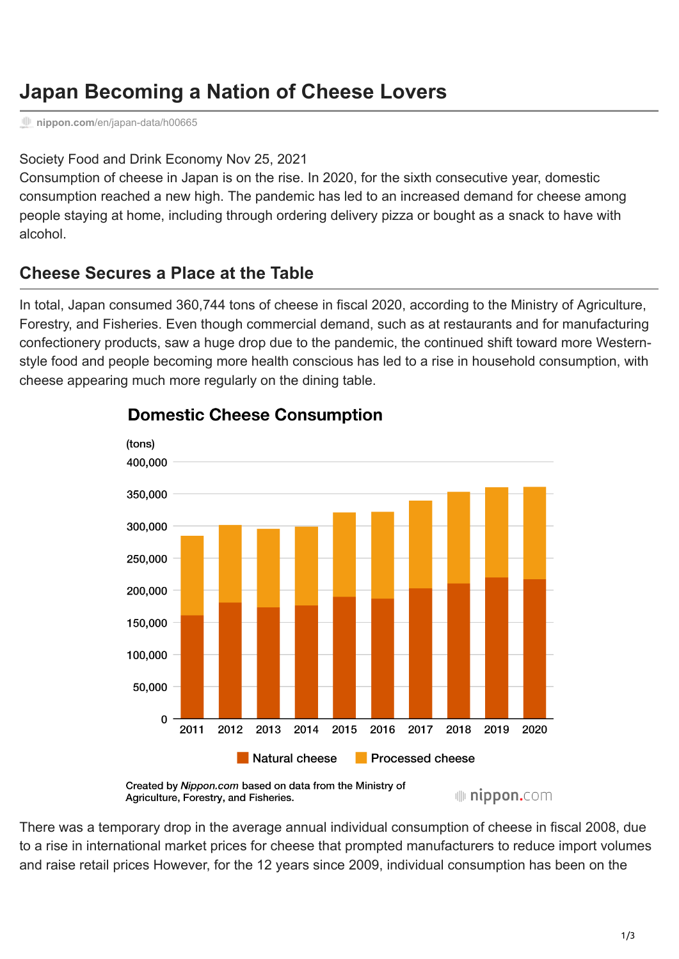# **Japan Becoming a Nation of Cheese Lovers**

**nippon.com**[/en/japan-data/h00665](https://www.nippon.com/en/japan-data/h00665/)

#### [Society](https://www.nippon.com/en/articlelist.html?f=ncf-category&s=Society) [Food and Drink](https://www.nippon.com/en/articlelist.html?f=ncf-category&s=Food+and+Drink) [Economy](https://www.nippon.com/en/articlelist.html?f=ncf-category&s=Economy) Nov 25, 2021

Consumption of cheese in Japan is on the rise. In 2020, for the sixth consecutive year, domestic consumption reached a new high. The pandemic has led to an increased demand for cheese among people staying at home, including through ordering delivery pizza or bought as a snack to have with alcohol.

## **Cheese Secures a Place at the Table**

In total, Japan consumed 360,744 tons of cheese in fiscal 2020, according to the Ministry of Agriculture, Forestry, and Fisheries. Even though commercial demand, such as at restaurants and for manufacturing confectionery products, saw a huge drop due to the pandemic, the continued shift toward more Westernstyle food and people becoming more health conscious has led to a rise in household consumption, with cheese appearing much more regularly on the dining table.



### **Domestic Cheese Consumption**

Created by Nippon.com based on data from the Ministry of ulli nippon.com Agriculture, Forestry, and Fisheries.

There was a temporary drop in the average annual individual consumption of cheese in fiscal 2008, due to a rise in international market prices for cheese that prompted manufacturers to reduce import volumes and raise retail prices However, for the 12 years since 2009, individual consumption has been on the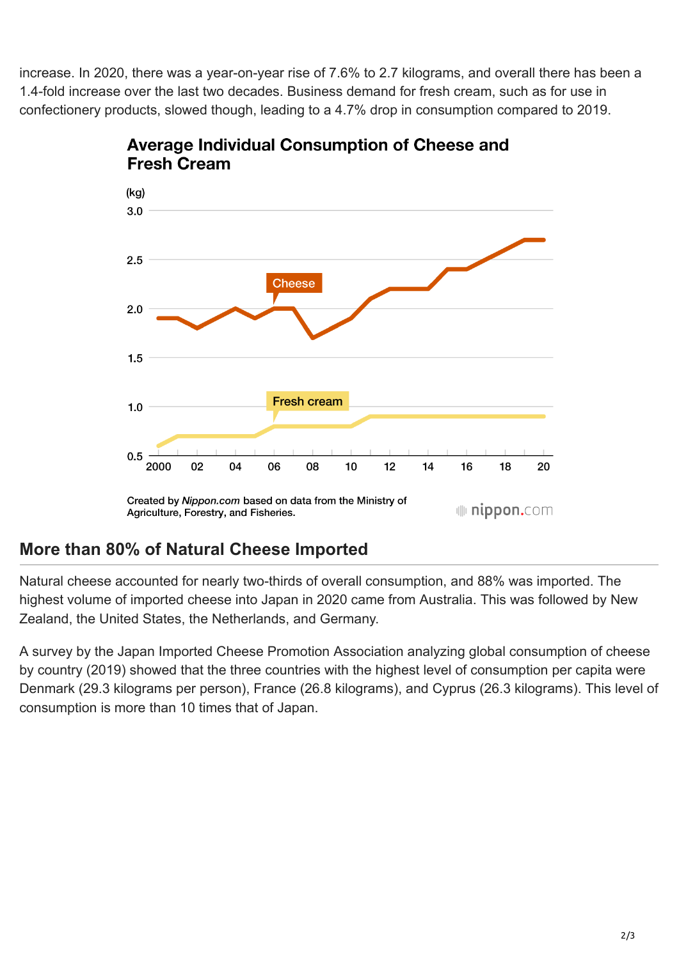increase. In 2020, there was a year-on-year rise of 7.6% to 2.7 kilograms, and overall there has been a 1.4-fold increase over the last two decades. Business demand for fresh cream, such as for use in confectionery products, slowed though, leading to a 4.7% drop in consumption compared to 2019.





## **More than 80% of Natural Cheese Imported**

Natural cheese accounted for nearly two-thirds of overall consumption, and 88% was imported. The highest volume of imported cheese into Japan in 2020 came from Australia. This was followed by New Zealand, the United States, the Netherlands, and Germany.

A survey by the Japan Imported Cheese Promotion Association analyzing global consumption of cheese by country (2019) showed that the three countries with the highest level of consumption per capita were Denmark (29.3 kilograms per person), France (26.8 kilograms), and Cyprus (26.3 kilograms). This level of consumption is more than 10 times that of Japan.